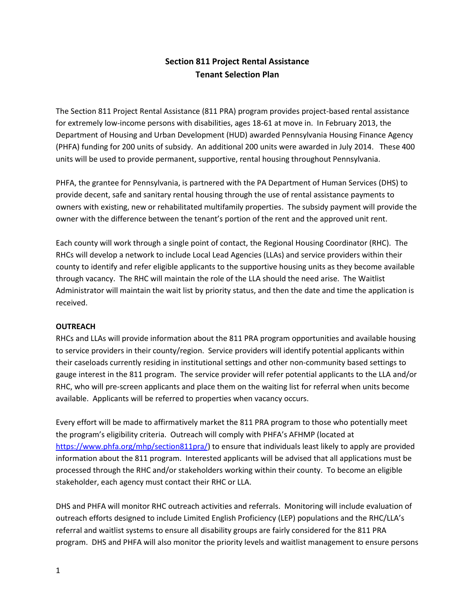# **Section 811 Project Rental Assistance Tenant Selection Plan**

The Section 811 Project Rental Assistance (811 PRA) program provides project-based rental assistance for extremely low-income persons with disabilities, ages 18-61 at move in. In February 2013, the Department of Housing and Urban Development (HUD) awarded Pennsylvania Housing Finance Agency (PHFA) funding for 200 units of subsidy. An additional 200 units were awarded in July 2014. These 400 units will be used to provide permanent, supportive, rental housing throughout Pennsylvania.

PHFA, the grantee for Pennsylvania, is partnered with the PA Department of Human Services (DHS) to provide decent, safe and sanitary rental housing through the use of rental assistance payments to owners with existing, new or rehabilitated multifamily properties. The subsidy payment will provide the owner with the difference between the tenant's portion of the rent and the approved unit rent.

Each county will work through a single point of contact, the Regional Housing Coordinator (RHC). The RHCs will develop a network to include Local Lead Agencies (LLAs) and service providers within their county to identify and refer eligible applicants to the supportive housing units as they become available through vacancy. The RHC will maintain the role of the LLA should the need arise. The Waitlist Administrator will maintain the wait list by priority status, and then the date and time the application is received.

#### **OUTREACH**

RHCs and LLAs will provide information about the 811 PRA program opportunities and available housing to service providers in their county/region. Service providers will identify potential applicants within their caseloads currently residing in institutional settings and other non-community based settings to gauge interest in the 811 program. The service provider will refer potential applicants to the LLA and/or RHC, who will pre-screen applicants and place them on the waiting list for referral when units become available. Applicants will be referred to properties when vacancy occurs.

Every effort will be made to affirmatively market the 811 PRA program to those who potentially meet the program's eligibility criteria. Outreach will comply with PHFA's AFHMP (located at [https://www.phfa.org/mhp/section811pra/\)](https://www.phfa.org/mhp/section811pra/) to ensure that individuals least likely to apply are provided information about the 811 program. Interested applicants will be advised that all applications must be processed through the RHC and/or stakeholders working within their county. To become an eligible stakeholder, each agency must contact their RHC or LLA.

DHS and PHFA will monitor RHC outreach activities and referrals. Monitoring will include evaluation of outreach efforts designed to include Limited English Proficiency (LEP) populations and the RHC/LLA's referral and waitlist systems to ensure all disability groups are fairly considered for the 811 PRA program. DHS and PHFA will also monitor the priority levels and waitlist management to ensure persons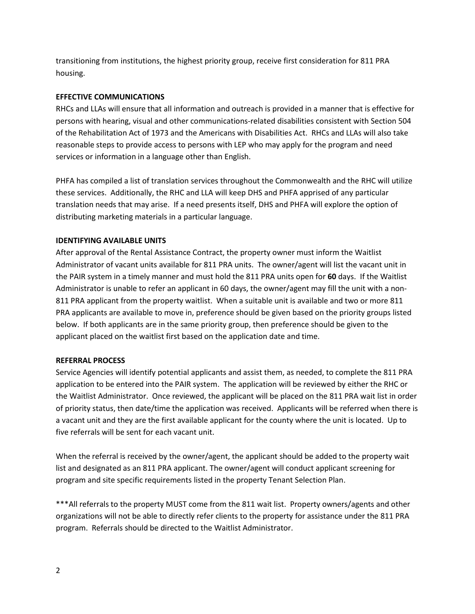transitioning from institutions, the highest priority group, receive first consideration for 811 PRA housing.

#### **EFFECTIVE COMMUNICATIONS**

RHCs and LLAs will ensure that all information and outreach is provided in a manner that is effective for persons with hearing, visual and other communications-related disabilities consistent with Section 504 of the Rehabilitation Act of 1973 and the Americans with Disabilities Act. RHCs and LLAs will also take reasonable steps to provide access to persons with LEP who may apply for the program and need services or information in a language other than English.

PHFA has compiled a list of translation services throughout the Commonwealth and the RHC will utilize these services. Additionally, the RHC and LLA will keep DHS and PHFA apprised of any particular translation needs that may arise. If a need presents itself, DHS and PHFA will explore the option of distributing marketing materials in a particular language.

## **IDENTIFYING AVAILABLE UNITS**

After approval of the Rental Assistance Contract, the property owner must inform the Waitlist Administrator of vacant units available for 811 PRA units. The owner/agent will list the vacant unit in the PAIR system in a timely manner and must hold the 811 PRA units open for **60** days. If the Waitlist Administrator is unable to refer an applicant in 60 days, the owner/agent may fill the unit with a non-811 PRA applicant from the property waitlist. When a suitable unit is available and two or more 811 PRA applicants are available to move in, preference should be given based on the priority groups listed below. If both applicants are in the same priority group, then preference should be given to the applicant placed on the waitlist first based on the application date and time.

#### **REFERRAL PROCESS**

Service Agencies will identify potential applicants and assist them, as needed, to complete the 811 PRA application to be entered into the PAIR system. The application will be reviewed by either the RHC or the Waitlist Administrator. Once reviewed, the applicant will be placed on the 811 PRA wait list in order of priority status, then date/time the application was received. Applicants will be referred when there is a vacant unit and they are the first available applicant for the county where the unit is located. Up to five referrals will be sent for each vacant unit.

When the referral is received by the owner/agent, the applicant should be added to the property wait list and designated as an 811 PRA applicant. The owner/agent will conduct applicant screening for program and site specific requirements listed in the property Tenant Selection Plan.

\*\*\*All referrals to the property MUST come from the 811 wait list. Property owners/agents and other organizations will not be able to directly refer clients to the property for assistance under the 811 PRA program. Referrals should be directed to the Waitlist Administrator.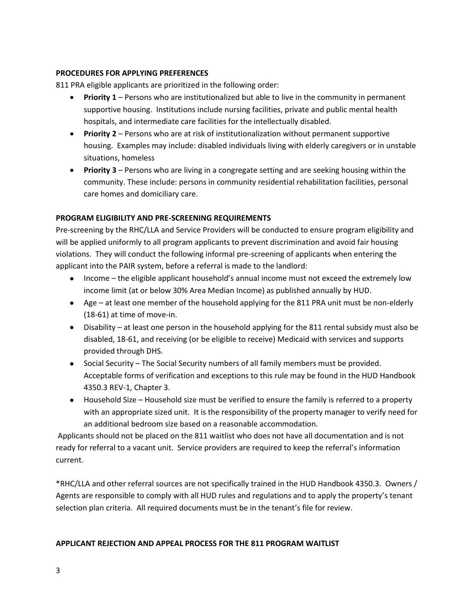#### **PROCEDURES FOR APPLYING PREFERENCES**

811 PRA eligible applicants are prioritized in the following order:

- **Priority 1** Persons who are institutionalized but able to live in the community in permanent supportive housing. Institutions include nursing facilities, private and public mental health hospitals, and intermediate care facilities for the intellectually disabled.
- **Priority 2** Persons who are at risk of institutionalization without permanent supportive housing. Examples may include: disabled individuals living with elderly caregivers or in unstable situations, homeless
- **Priority 3** Persons who are living in a congregate setting and are seeking housing within the community. These include: persons in community residential rehabilitation facilities, personal care homes and domiciliary care.

## **PROGRAM ELIGIBILITY AND PRE-SCREENING REQUIREMENTS**

Pre-screening by the RHC/LLA and Service Providers will be conducted to ensure program eligibility and will be applied uniformly to all program applicants to prevent discrimination and avoid fair housing violations. They will conduct the following informal pre-screening of applicants when entering the applicant into the PAIR system, before a referral is made to the landlord:

- Income the eligible applicant household's annual income must not exceed the extremely low income limit (at or below 30% Area Median Income) as published annually by HUD.
- Age at least one member of the household applying for the 811 PRA unit must be non-elderly (18-61) at time of move-in.
- Disability at least one person in the household applying for the 811 rental subsidy must also be disabled, 18-61, and receiving (or be eligible to receive) Medicaid with services and supports provided through DHS.
- Social Security The Social Security numbers of all family members must be provided. Acceptable forms of verification and exceptions to this rule may be found in the HUD Handbook 4350.3 REV-1, Chapter 3.
- Household Size Household size must be verified to ensure the family is referred to a property with an appropriate sized unit. It is the responsibility of the property manager to verify need for an additional bedroom size based on a reasonable accommodation.

Applicants should not be placed on the 811 waitlist who does not have all documentation and is not ready for referral to a vacant unit. Service providers are required to keep the referral's information current.

\*RHC/LLA and other referral sources are not specifically trained in the HUD Handbook 4350.3. Owners / Agents are responsible to comply with all HUD rules and regulations and to apply the property's tenant selection plan criteria. All required documents must be in the tenant's file for review.

#### **APPLICANT REJECTION AND APPEAL PROCESS FOR THE 811 PROGRAM WAITLIST**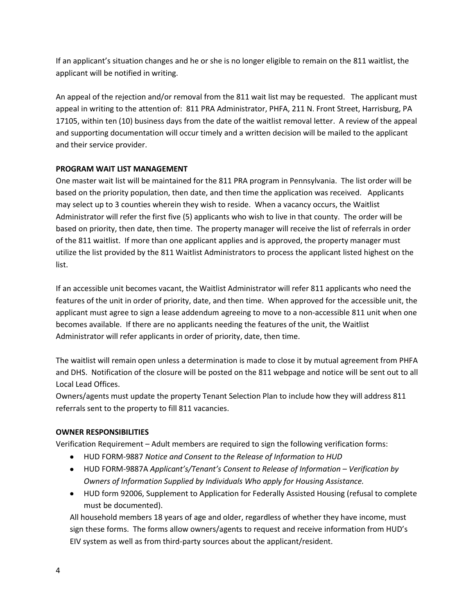If an applicant's situation changes and he or she is no longer eligible to remain on the 811 waitlist, the applicant will be notified in writing.

An appeal of the rejection and/or removal from the 811 wait list may be requested. The applicant must appeal in writing to the attention of: 811 PRA Administrator, PHFA, 211 N. Front Street, Harrisburg, PA 17105, within ten (10) business days from the date of the waitlist removal letter. A review of the appeal and supporting documentation will occur timely and a written decision will be mailed to the applicant and their service provider.

## **PROGRAM WAIT LIST MANAGEMENT**

One master wait list will be maintained for the 811 PRA program in Pennsylvania. The list order will be based on the priority population, then date, and then time the application was received. Applicants may select up to 3 counties wherein they wish to reside. When a vacancy occurs, the Waitlist Administrator will refer the first five (5) applicants who wish to live in that county. The order will be based on priority, then date, then time. The property manager will receive the list of referrals in order of the 811 waitlist. If more than one applicant applies and is approved, the property manager must utilize the list provided by the 811 Waitlist Administrators to process the applicant listed highest on the list.

If an accessible unit becomes vacant, the Waitlist Administrator will refer 811 applicants who need the features of the unit in order of priority, date, and then time. When approved for the accessible unit, the applicant must agree to sign a lease addendum agreeing to move to a non-accessible 811 unit when one becomes available. If there are no applicants needing the features of the unit, the Waitlist Administrator will refer applicants in order of priority, date, then time.

The waitlist will remain open unless a determination is made to close it by mutual agreement from PHFA and DHS. Notification of the closure will be posted on the 811 webpage and notice will be sent out to all Local Lead Offices.

Owners/agents must update the property Tenant Selection Plan to include how they will address 811 referrals sent to the property to fill 811 vacancies.

# **OWNER RESPONSIBILITIES**

Verification Requirement – Adult members are required to sign the following verification forms:

- HUD FORM-9887 *Notice and Consent to the Release of Information to HUD*
- HUD FORM-9887A *Applicant's/Tenant's Consent to Release of Information – Verification by Owners of Information Supplied by Individuals Who apply for Housing Assistance.*
- HUD form 92006, Supplement to Application for Federally Assisted Housing (refusal to complete must be documented).

All household members 18 years of age and older, regardless of whether they have income, must sign these forms. The forms allow owners/agents to request and receive information from HUD's EIV system as well as from third-party sources about the applicant/resident.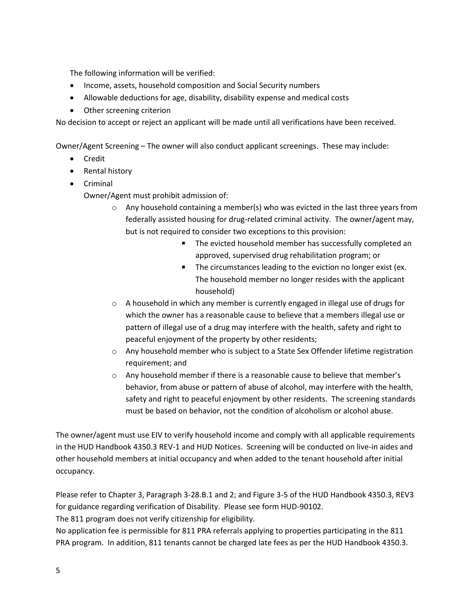The following information will be verified:

- Income, assets, household composition and Social Security numbers
- Allowable deductions for age, disability, disability expense and medical costs
- Other screening criterion

No decision to accept or reject an applicant will be made until all verifications have been received.

Owner/Agent Screening – The owner will also conduct applicant screenings. These may include:

- Credit
- Rental history
- Criminal

Owner/Agent must prohibit admission of:

- o Any household containing a member(s) who was evicted in the last three years from federally assisted housing for drug-related criminal activity. The owner/agent may, but is not required to consider two exceptions to this provision:
	- The evicted household member has successfully completed an approved, supervised drug rehabilitation program; or
	- The circumstances leading to the eviction no longer exist (ex. The household member no longer resides with the applicant household)
- $\circ$  A household in which any member is currently engaged in illegal use of drugs for which the owner has a reasonable cause to believe that a members illegal use or pattern of illegal use of a drug may interfere with the health, safety and right to peaceful enjoyment of the property by other residents;
- $\circ$  Any household member who is subject to a State Sex Offender lifetime registration requirement; and
- o Any household member if there is a reasonable cause to believe that member's behavior, from abuse or pattern of abuse of alcohol, may interfere with the health, safety and right to peaceful enjoyment by other residents. The screening standards must be based on behavior, not the condition of alcoholism or alcohol abuse.

The owner/agent must use EIV to verify household income and comply with all applicable requirements in the HUD Handbook 4350.3 REV-1 and HUD Notices. Screening will be conducted on live-in aides and other household members at initial occupancy and when added to the tenant household after initial occupancy.

Please refer to Chapter 3, Paragraph 3-28.B.1 and 2; and Figure 3-5 of the HUD Handbook 4350.3, REV3 for guidance regarding verification of Disability. Please see form HUD-90102.

The 811 program does not verify citizenship for eligibility.

No application fee is permissible for 811 PRA referrals applying to properties participating in the 811 PRA program. In addition, 811 tenants cannot be charged late fees as per the HUD Handbook 4350.3.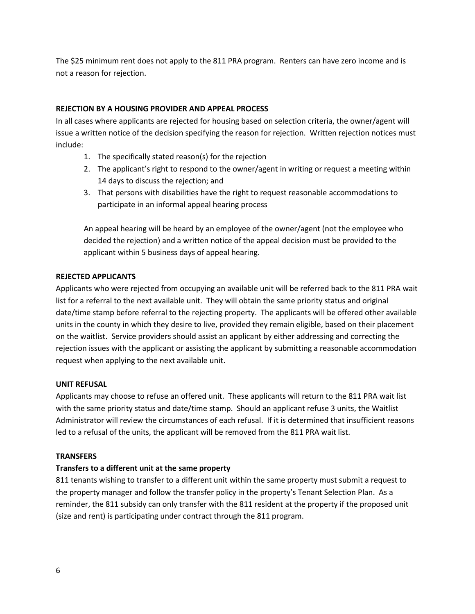The \$25 minimum rent does not apply to the 811 PRA program. Renters can have zero income and is not a reason for rejection.

#### **REJECTION BY A HOUSING PROVIDER AND APPEAL PROCESS**

In all cases where applicants are rejected for housing based on selection criteria, the owner/agent will issue a written notice of the decision specifying the reason for rejection. Written rejection notices must include:

- 1. The specifically stated reason(s) for the rejection
- 2. The applicant's right to respond to the owner/agent in writing or request a meeting within 14 days to discuss the rejection; and
- 3. That persons with disabilities have the right to request reasonable accommodations to participate in an informal appeal hearing process

An appeal hearing will be heard by an employee of the owner/agent (not the employee who decided the rejection) and a written notice of the appeal decision must be provided to the applicant within 5 business days of appeal hearing.

## **REJECTED APPLICANTS**

Applicants who were rejected from occupying an available unit will be referred back to the 811 PRA wait list for a referral to the next available unit. They will obtain the same priority status and original date/time stamp before referral to the rejecting property. The applicants will be offered other available units in the county in which they desire to live, provided they remain eligible, based on their placement on the waitlist. Service providers should assist an applicant by either addressing and correcting the rejection issues with the applicant or assisting the applicant by submitting a reasonable accommodation request when applying to the next available unit.

#### **UNIT REFUSAL**

Applicants may choose to refuse an offered unit. These applicants will return to the 811 PRA wait list with the same priority status and date/time stamp. Should an applicant refuse 3 units, the Waitlist Administrator will review the circumstances of each refusal. If it is determined that insufficient reasons led to a refusal of the units, the applicant will be removed from the 811 PRA wait list.

#### **TRANSFERS**

# **Transfers to a different unit at the same property**

811 tenants wishing to transfer to a different unit within the same property must submit a request to the property manager and follow the transfer policy in the property's Tenant Selection Plan. As a reminder, the 811 subsidy can only transfer with the 811 resident at the property if the proposed unit (size and rent) is participating under contract through the 811 program.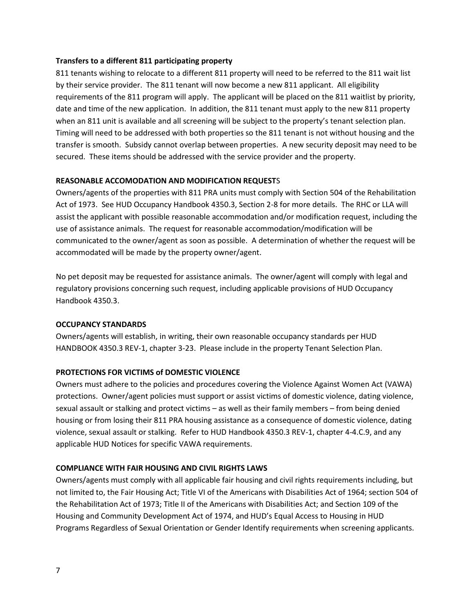#### **Transfers to a different 811 participating property**

811 tenants wishing to relocate to a different 811 property will need to be referred to the 811 wait list by their service provider. The 811 tenant will now become a new 811 applicant. All eligibility requirements of the 811 program will apply. The applicant will be placed on the 811 waitlist by priority, date and time of the new application. In addition, the 811 tenant must apply to the new 811 property when an 811 unit is available and all screening will be subject to the property's tenant selection plan. Timing will need to be addressed with both properties so the 811 tenant is not without housing and the transfer is smooth. Subsidy cannot overlap between properties. A new security deposit may need to be secured. These items should be addressed with the service provider and the property.

#### **REASONABLE ACCOMODATION AND MODIFICATION REQUEST**S

Owners/agents of the properties with 811 PRA units must comply with Section 504 of the Rehabilitation Act of 1973. See HUD Occupancy Handbook 4350.3, Section 2-8 for more details. The RHC or LLA will assist the applicant with possible reasonable accommodation and/or modification request, including the use of assistance animals. The request for reasonable accommodation/modification will be communicated to the owner/agent as soon as possible. A determination of whether the request will be accommodated will be made by the property owner/agent.

No pet deposit may be requested for assistance animals. The owner/agent will comply with legal and regulatory provisions concerning such request, including applicable provisions of HUD Occupancy Handbook 4350.3.

#### **OCCUPANCY STANDARDS**

Owners/agents will establish, in writing, their own reasonable occupancy standards per HUD HANDBOOK 4350.3 REV-1, chapter 3-23. Please include in the property Tenant Selection Plan.

#### **PROTECTIONS FOR VICTIMS of DOMESTIC VIOLENCE**

Owners must adhere to the policies and procedures covering the Violence Against Women Act (VAWA) protections. Owner/agent policies must support or assist victims of domestic violence, dating violence, sexual assault or stalking and protect victims – as well as their family members – from being denied housing or from losing their 811 PRA housing assistance as a consequence of domestic violence, dating violence, sexual assault or stalking. Refer to HUD Handbook 4350.3 REV-1, chapter 4-4.C.9, and any applicable HUD Notices for specific VAWA requirements.

#### **COMPLIANCE WITH FAIR HOUSING AND CIVIL RIGHTS LAWS**

Owners/agents must comply with all applicable fair housing and civil rights requirements including, but not limited to, the Fair Housing Act; Title VI of the Americans with Disabilities Act of 1964; section 504 of the Rehabilitation Act of 1973; Title II of the Americans with Disabilities Act; and Section 109 of the Housing and Community Development Act of 1974, and HUD's Equal Access to Housing in HUD Programs Regardless of Sexual Orientation or Gender Identify requirements when screening applicants.